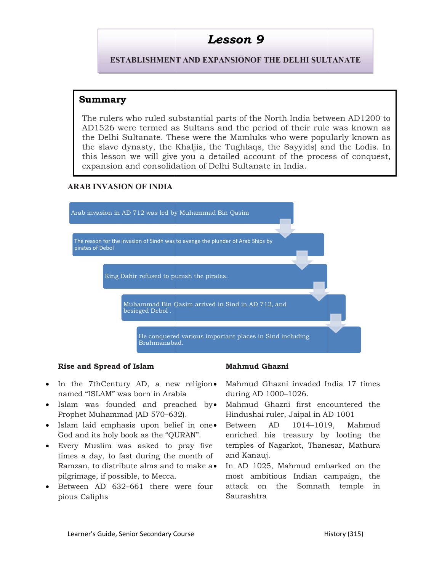ESTABLISHMENT AND EXPANSIONOF THE DELHI SULTANATE

#### Summary

The rulers who ruled substantial parts of the North India between AD1200 to The rulers who ruled substantial parts of the North India between AD1200 to<br>AD1526 were termed as Sultans and the period of their rule was known as the Delhi Sultanate. These were the Mamluks who were popularly known as the slave dynasty, the Khaljis, the Tughlaqs, the Sayyids) and the Lodis. In this lesson we will give you a detailed account of the process of conquest, expansion and consolidation of Delhi Sultanate in India. **LESSON 9**<br> **IABLISHMENT AND EXPANSIONOF THE DELHI SULTAN**<br> **y**<br>
s who ruled substantial parts of the North India betweer<br>
sultanate. These were the Mamluks who were poular<br>
dynasty, the Khaljis, the Tughlaqs, the Sayyids)

#### ARAB INVASION OF INDIA



#### Rise and Spread of Islam

- In the 7thCentury AD, a new religion Mahmud Ghazni invaded India 17 times named "ISLAM" was born in Arabia
- Islam was founded and preached by Mahmud Ghazn Prophet Muhammad (AD 570–632). 7thCentury AD, a new religion• Mahmud<br>"ISLAM" was born in Arabia during AI<br>was founded and preached by• Mahmud<br>t Muhammad (AD 570–632). Hindusha
- Islam laid emphasis upon belief in one Between AD God and its holy book as the "QURAN". enriched his
- Every Muslim was asked to times a day, to fast during the month of Ramzan, to distribute alms and to pilgrimage, if possible, to Mecca.
- Between AD 632–661 there were four pious Caliphs

during AD 1000–1026.

- Mahmud Ghazni first encountered the Hindushai ruler, Jaipal in AD 1001
- pray five temples of Nagarkot, Thanesar, Mathura Fislam Mahmud Ghazni <br>
AD, a new religion Mahmud Ghazni invaded India 17 times<br>
born in Arabia during AD 1000-1026.<br>
Ad and preached by Mahmud Ghazni first encountered the<br>  $d$  (AD 570-632). Hindushai ruler, Jaipal in AD 1014–1019, Mahmud enriched his treasury by looting the and Kanauj.
	- to make  $a \bullet$  In AD 1025, Mahmud embarked on the most ambitious Indian campaign, the attack on the Somnath temple in Saurashtra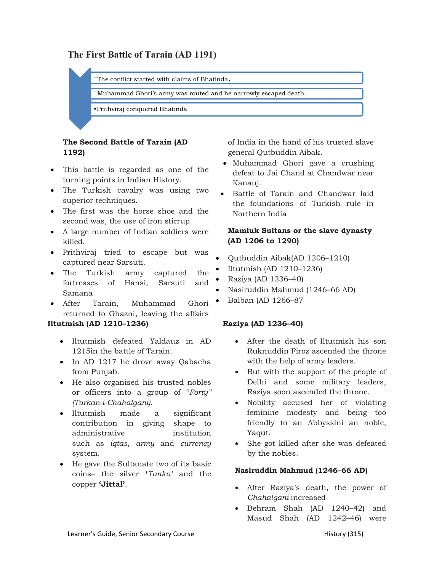## The First Battle of Tarain (AD 1191)

 $\square$  The conflict started with claims of Bhatinda.

 $\Box$ The conflict started with claims of Bhatinda.<br> $\Box$ Muhammad Ghori's army was routed and he narrowly escaped death.

•Prithviraj conquered Bhatinda Prithviraj

# 1192)

- This battle is regarded as one of the  $\epsilon$  defeat to Lai C turning points in Indian History.
- The Turkish cavalry was using two superior techniques.
- The first was the horse shoe and the second was, the use of iron stirrup.
- A large number of Indian soldiers were killed.
- Prithviraj tried to escape but was captured near Sarsuti.
- The Turkish army captured the fortresses of Hansi, Sarsuti and Samana large number of Indian soldiers were<br>led.<br>ithviraj tried to escape but was<br>ptured near Sarsuti.<br>le Turkish army captured the<br>ctresses of Hansi, Sarsuti and
- After Tarain, Muhammad Ghori Balban (AD 1266–87 returned to Ghazni, leaving the affairs

#### Iltutmish (AD 1210–1236)

- Iltutmish defeated Yaldauz in AD 1215in the battle of Tarain.
- In AD 1217 he drove away Qabacha from Punjab.
- He also organised his trusted nobles or officers into a group of " his or of Forty" (Turkan-i-Chahalgani).
- Iltutmish made a significant contribution in giving shape to administrative institution such as *iqtas*, *army* and *currency* system.
- He gave the Sultanate two of its basic coins- the silver '*Tanka*' and the **Nash utum M** copper 'Jittal'.

The Second Battle of Tarain (AD of India in the hand of his trusted slave general Qutbuddin Aibak.

- Kanauj. Muhammad Ghori gave a crushing defeat to Jai Chand at Chandwar near
- two and the Battle of Tarain and Chandwar laid of India in the hand of his trusted slave<br>general Qutbuddin Aibak.<br>
• Muhammad Ghori gave a crushing<br>defeat to Jai Chand at Chandwar near<br>
Kanauj.<br>
• Battle of Tarain and Chandwar laid<br>
the foundations of Turkish rule in<br> the foundations of Turkish rule in Northern India

#### Mamluk Sultans or the slave dynasty (AD 1206 to 1290)

- Qutbuddin Aibak(AD 1206– –1210)
- Iltutmish (AD 1210–1236)
- Raziya (AD 1236–40)
- Nasiruddin Mahmud (1246– –66 AD)
- 

#### Raziya (AD 1236–40)

- After the death of Iltutmish his son Ruknuddin Firoz ascended the throne After the death of Iltutmish his son<br>Ruknuddin Firoz ascended the throne<br>with the help of army leaders.
- But with the support of the people of Delhi and some military leaders, Raziya soon ascended the throne.
- Nobility accused her of violating feminine modesty and being too friendly to an Abbyssini an noble, Yaqut. ility accused her of violating<br>nine modesty and being too<br>idly to an Abbyssini an noble,
- currency She got killed after she was defeated by the nobles.

#### Nasiruddin Mahmud (1246 Nasiruddin (1246–66 AD)

- After Raziya's death, the power of Chahalgani increased - After Raziya's death, the power of<br>*Chahalgani*-increased<br>- Behram Shah (AD 1240–42) and
- Masud Shah (AD 124 Shah 1242–46) were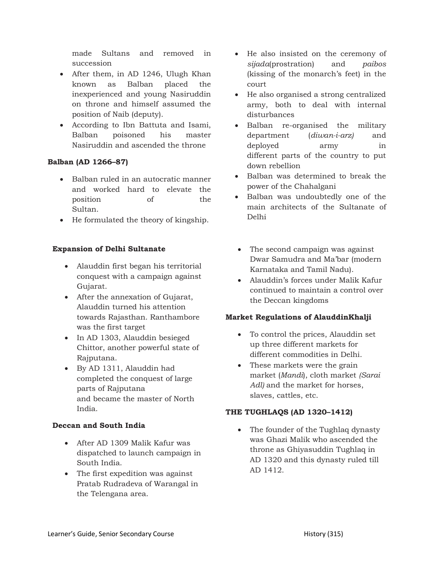made Sultans and removed in succession

- After them, in AD 1246, Ulugh Khan known as Balban placed the inexperienced and young Nasiruddin on throne and himself assumed the position of Naib (deputy).
- According to Ibn Battuta and Isami, Balban poisoned his master Nasiruddin and ascended the throne

### Balban (AD 1266–87)

- Balban ruled in an autocratic manner and worked hard to elevate the position of the Sultan.
- He formulated the theory of kingship.

### Expansion of Delhi Sultanate

- Alauddin first began his territorial conquest with a campaign against Gujarat.
- After the annexation of Gujarat, Alauddin turned his attention towards Rajasthan. Ranthambore was the first target
- In AD 1303, Alauddin besieged Chittor, another powerful state of Rajputana.
- By AD 1311, Alauddin had completed the conquest of large parts of Rajputana and became the master of North India.

#### Deccan and South India

- After AD 1309 Malik Kafur was dispatched to launch campaign in South India.
- The first expedition was against Pratab Rudradeva of Warangal in the Telengana area.
- He also insisted on the ceremony of sijada(prostration) and *paibos* (kissing of the monarch's feet) in the court
- He also organised a strong centralized army, both to deal with internal disturbances
- Balban re-organised the military department (*diwan-i-arz*) and deployed army in different parts of the country to put down rebellion
- Balban was determined to break the power of the Chahalgani
- Balban was undoubtedly one of the main architects of the Sultanate of Delhi
- The second campaign was against Dwar Samudra and Ma'bar (modern Karnataka and Tamil Nadu).
- Alauddin's forces under Malik Kafur continued to maintain a control over the Deccan kingdoms

#### Market Regulations of AlauddinKhalji

- To control the prices, Alauddin set up three different markets for different commodities in Delhi.
- These markets were the grain market (Mandi), cloth market (Sarai Adl) and the market for horses, slaves, cattles, etc.

#### THE TUGHLAQS (AD 1320–1412)

• The founder of the Tughlaq dynasty was Ghazi Malik who ascended the throne as Ghiyasuddin Tughlaq in AD 1320 and this dynasty ruled till AD 1412.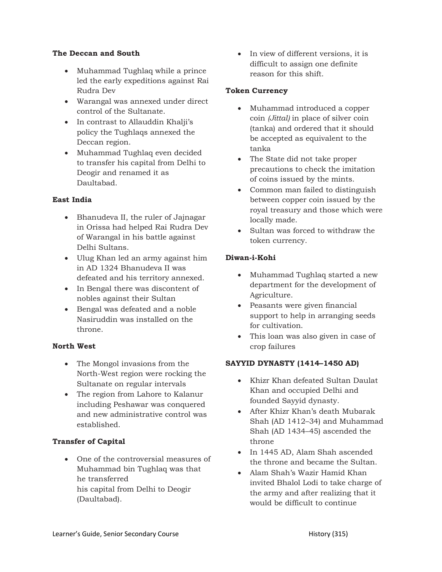#### The Deccan and South

- Muhammad Tughlaq while a prince led the early expeditions against Rai Rudra Dev
- Warangal was annexed under direct control of the Sultanate.
- In contrast to Allauddin Khalji's policy the Tughlaqs annexed the Deccan region.
- Muhammad Tughlaq even decided to transfer his capital from Delhi to Deogir and renamed it as Daultabad.

#### East India

- Bhanudeva II, the ruler of Jajnagar in Orissa had helped Rai Rudra Dev of Warangal in his battle against Delhi Sultans.
- Ulug Khan led an army against him in AD 1324 Bhanudeva II was defeated and his territory annexed.
- In Bengal there was discontent of nobles against their Sultan
- Bengal was defeated and a noble Nasiruddin was installed on the throne.

#### North West

- The Mongol invasions from the North-West region were rocking the Sultanate on regular intervals
- The region from Lahore to Kalanur including Peshawar was conquered and new administrative control was established.

#### Transfer of Capital

 One of the controversial measures of Muhammad bin Tughlaq was that he transferred his capital from Delhi to Deogir (Daultabad).

• In view of different versions, it is difficult to assign one definite reason for this shift.

#### Token Currency

- Muhammad introduced a copper coin (Jittal) in place of silver coin (tanka) and ordered that it should be accepted as equivalent to the tanka
- The State did not take proper precautions to check the imitation of coins issued by the mints.
- Common man failed to distinguish between copper coin issued by the royal treasury and those which were locally made.
- Sultan was forced to withdraw the token currency.

#### Diwan-i-Kohi

- Muhammad Tughlaq started a new department for the development of Agriculture.
- Peasants were given financial support to help in arranging seeds for cultivation.
- This loan was also given in case of crop failures

#### SAYYID DYNASTY (1414–1450 AD)

- Khizr Khan defeated Sultan Daulat Khan and occupied Delhi and founded Sayyid dynasty.
- After Khizr Khan's death Mubarak Shah (AD 1412–34) and Muhammad Shah (AD 1434–45) ascended the throne
- In 1445 AD, Alam Shah ascended the throne and became the Sultan.
- Alam Shah's Wazir Hamid Khan invited Bhalol Lodi to take charge of the army and after realizing that it would be difficult to continue